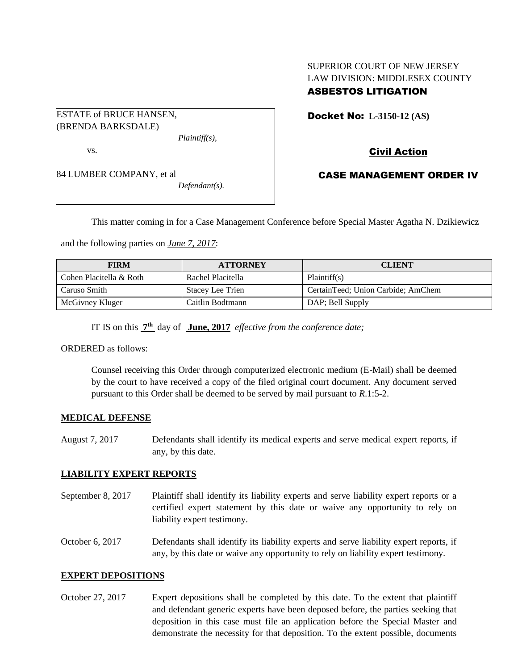### SUPERIOR COURT OF NEW JERSEY LAW DIVISION: MIDDLESEX COUNTY ASBESTOS LITIGATION

ESTATE of BRUCE HANSEN, (BRENDA BARKSDALE) *Plaintiff(s),*

vs.

84 LUMBER COMPANY, et al

*Defendant(s).*

Docket No: **L-3150-12 (AS)** 

# Civil Action

## CASE MANAGEMENT ORDER IV

This matter coming in for a Case Management Conference before Special Master Agatha N. Dzikiewicz

and the following parties on *June 7, 2017*:

| <b>FIRM</b>             | <b>ATTORNEY</b>         | <b>CLIENT</b>                      |
|-------------------------|-------------------------|------------------------------------|
| Cohen Placitella & Roth | Rachel Placitella       | Plaintiff(s)                       |
| Caruso Smith            | <b>Stacey Lee Trien</b> | CertainTeed; Union Carbide; AmChem |
| McGivney Kluger         | Caitlin Bodtmann        | DAP; Bell Supply                   |

IT IS on this **7 th** day of **June, 2017** *effective from the conference date;*

ORDERED as follows:

Counsel receiving this Order through computerized electronic medium (E-Mail) shall be deemed by the court to have received a copy of the filed original court document. Any document served pursuant to this Order shall be deemed to be served by mail pursuant to *R*.1:5-2.

### **MEDICAL DEFENSE**

August 7, 2017 Defendants shall identify its medical experts and serve medical expert reports, if any, by this date.

### **LIABILITY EXPERT REPORTS**

September 8, 2017 Plaintiff shall identify its liability experts and serve liability expert reports or a certified expert statement by this date or waive any opportunity to rely on liability expert testimony.

October 6, 2017 Defendants shall identify its liability experts and serve liability expert reports, if any, by this date or waive any opportunity to rely on liability expert testimony.

### **EXPERT DEPOSITIONS**

October 27, 2017 Expert depositions shall be completed by this date. To the extent that plaintiff and defendant generic experts have been deposed before, the parties seeking that deposition in this case must file an application before the Special Master and demonstrate the necessity for that deposition. To the extent possible, documents